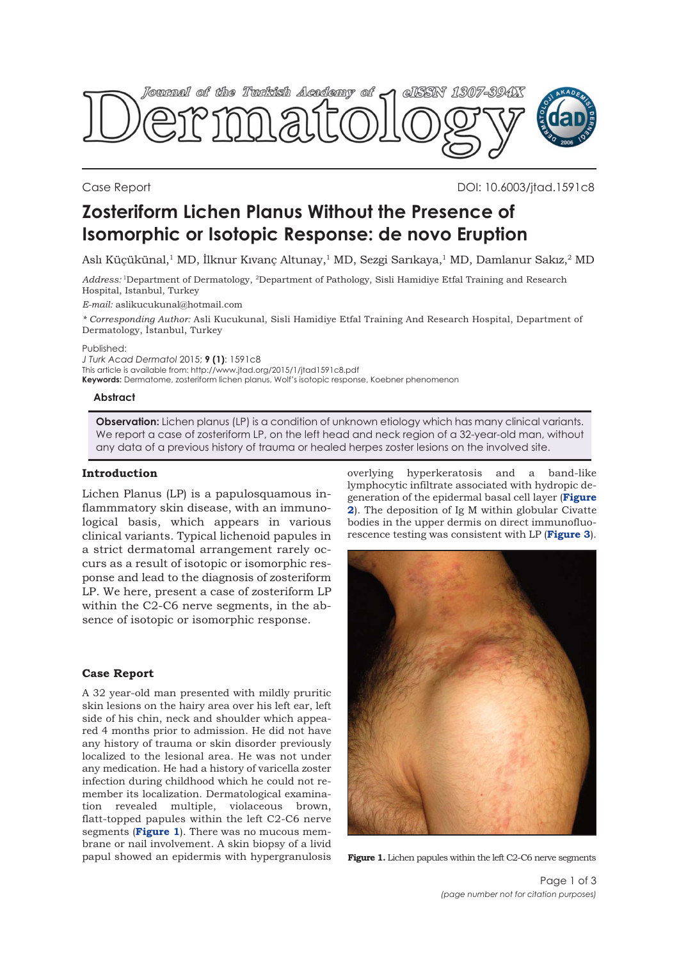

Case Report DOI: 10.6003/jtad.1591c8

# **Zosteriform Lichen Planus Without the Presence of Isomorphic or Isotopic Response: de novo Eruption**

Aslı Küçükünal,1 MD, İlknur Kıvanç Altunay,1 MD, Sezgi Sarıkaya,1 MD, Damlanur Sakız,2 MD

*Address:* 1Department of Dermatology, 2Department of Pathology, Sisli Hamidiye Etfal Training and Research Hospital, Istanbul, Turkey

*E-mail:* aslikucukunal@hotmail.com

*\* Corresponding Author:* Asli Kucukunal, Sisli Hamidiye Etfal Training And Research Hospital, Department of Dermatology, İstanbul, Turkey

Published:

*J Turk Acad Dermatol* 2015; **9 (1)**: 1591c8

This article is available from: http://www.jtad.org/2015/1/jtad1591c8.pdf

**Keywords:** Dermatome, zosteriform lichen planus, Wolf's isotopic response, Koebner phenomenon

#### **Abstract**

**Observation:** Lichen planus (LP) is a condition of unknown etiology which has many clinical variants. We report a case of zosteriform LP, on the left head and neck region of a 32-year-old man, without any data of a previous history of trauma or healed herpes zoster lesions on the involved site.

## **Introduction**

Lichen Planus (LP) is a papulosquamous inflammmatory skin disease, with an immunological basis, which appears in various clinical variants. Typical lichenoid papules in a strict dermatomal arrangement rarely occurs as a result of isotopic or isomorphic response and lead to the diagnosis of zosteriform LP. We here, present a case of zosteriform LP within the C2-C6 nerve segments, in the absence of isotopic or isomorphic response.

#### **Case Report**

A 32 year-old man presented with mildly pruritic skin lesions on the hairy area over his left ear, left side of his chin, neck and shoulder which appeared 4 months prior to admission. He did not have any history of trauma or skin disorder previously localized to the lesional area. He was not under any medication. He had a history of varicella zoster infection during childhood which he could not remember its localization. Dermatological examination revealed multiple, violaceous brown, flatt-topped papules within the left C2-C6 nerve segments (**Figure 1**). There was no mucous membrane or nail involvement. A skin biopsy of a livid papul showed an epidermis with hypergranulosis

overlying hyperkeratosis and a band-like lymphocytic infiltrate associated with hydropic degeneration of the epidermal basal cell layer (**Figure 2**[\). The deposition of Ig M within globular Civatte](#page-1-0) bodies in the upper dermis on direct immunofluorescence testing was consistent with LP (**[Figure 3](#page-1-0)**).



**Figure 1.** Lichen papules within the left C2-C6 nerve segments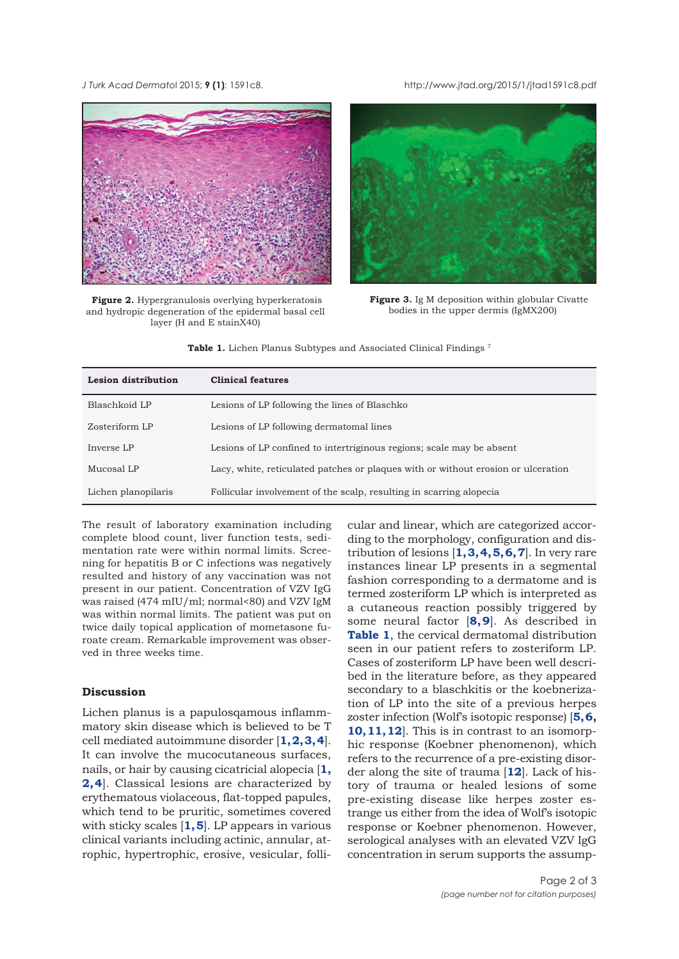#### <span id="page-1-0"></span>*J Turk Acad Dermato*l 2015; **9 (1)**: 1591c8. http://www.jtad.org/2015/1/jtad1591c8.pdf



**Figure 2.** Hypergranulosis overlying hyperkeratosis and hydropic degeneration of the epidermal basal cell layer (H and E stainX40)



**Figure 3.** Ig M deposition within globular Civatte bodies in the upper dermis (IgMX200)

Table 1. Lichen Planus Subtypes and Associated Clinical Findings<sup>7</sup>

| <b>Lesion distribution</b> | <b>Clinical features</b>                                                          |
|----------------------------|-----------------------------------------------------------------------------------|
| Blaschkoid LP              | Lesions of LP following the lines of Blaschko                                     |
| Zosteriform LP             | Lesions of LP following dermatomal lines                                          |
| Inverse LP                 | Lesions of LP confined to intertriginous regions; scale may be absent             |
| Mucosal LP                 | Lacy, white, reticulated patches or plaques with or without erosion or ulceration |
| Lichen planopilaris        | Follicular involvement of the scalp, resulting in scarring alopecia               |

The result of laboratory examination including complete blood count, liver function tests, sedimentation rate were within normal limits. Screening for hepatitis B or C infections was negatively resulted and history of any vaccination was not present in our patient. Concentration of VZV IgG was raised (474 mIU/ml; normal<80) and VZV IgM was within normal limits. The patient was put on twice daily topical application of mometasone furoate cream. Remarkable improvement was observed in three weeks time.

# **Discussion**

Lichen planus is a papulosqamous inflammmatory skin disease which is believed to be T cell mediated autoimmune disorder [**[1, 2, 3, 4](#page-2-0)**]. It can involve the mucocutaneous surfaces, nails, or hair by causing cicatricial alopecia [**[1](#page-2-0), [2, 4](#page-2-0)**]. Classical lesions are characterized by erythematous violaceous, flat-topped papules, which tend to be pruritic, sometimes covered with sticky scales [**[1, 5](#page-2-0)**]. LP appears in various clinical variants including actinic, annular, atrophic, hypertrophic, erosive, vesicular, follicular and linear, which are categorized according to the morphology, configuration and distribution of lesions [**[1, 3, 4, 5, 6, 7](#page-2-0)**]. In very rare instances linear LP presents in a segmental fashion corresponding to a dermatome and is termed zosteriform LP which is interpreted as a cutaneous reaction possibly triggered by some neural factor [**[8, 9](#page-2-0)**]. As described in **Table 1**, the cervical dermatomal distribution seen in our patient refers to zosteriform LP. Cases of zosteriform LP have been well described in the literature before, as they appeared secondary to a blaschkitis or the koebnerization of LP into the site of a previous herpes zoster infection (Wolf's isotopic response) [**[5, 6,](#page-2-0) [10, 11](#page-2-0), [12](#page-2-0)**]. This is in contrast to an isomorphic response (Koebner phenomenon), which refers to the recurrence of a pre-existing disorder along the site of trauma [**[12](#page-2-0)**]. Lack of history of trauma or healed lesions of some pre-existing disease like herpes zoster estrange us either from the idea of Wolf's isotopic response or Koebner phenomenon. However, serological analyses with an elevated VZV IgG concentration in serum supports the assump-